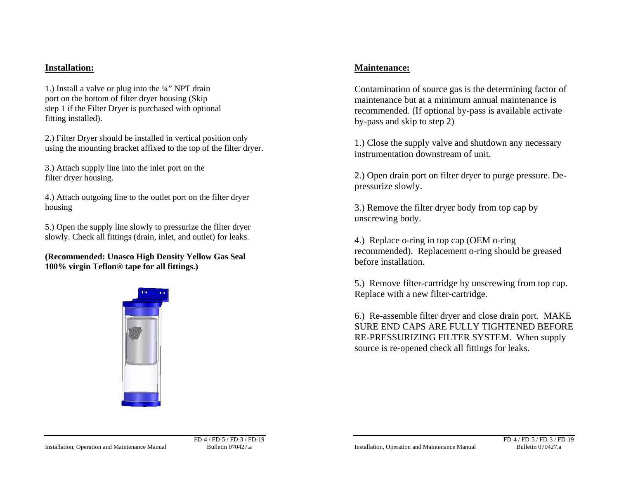## **Installation:**

1.) Install a valve or plug into the ¼" NPT drain port on the bottom of filter dryer housing (Skip step 1 if the Filter Dryer is purchased with optional fitting installed).

2.) Filter Dryer should be installed in vertical position only using the mounting bracket affixed to the top of the filter dryer.

3.) Attach supply line into the inlet port on the filter dryer housing.

4.) Attach outgoing line to the outlet port on the filter dryer housing

5.) Open the supply line slowly to pressurize the filter dryer slowly. Check all fittings (drain, inlet, and outlet) for leaks.

**(Recommended: Unasco High Density Yellow Gas Seal 100% virgin Teflon® tape for all fittings.)** 



## **Maintenance:**

Contamination of source gas is the determining factor of maintenance but at a minimum annual maintenance is recommended. (If optional by-pass is available activate by-pass and skip to step 2)

1.) Close the supply valve and shutdown any necessary instrumentation downstream of unit.

2.) Open drain port on filter dryer to purge pressure. Depressurize slowly.

3.) Remove the filter dryer body from top cap by unscrewing body.

4.) Replace o-ring in top cap (OEM o-ring recommended). Replacement o-ring should be greased before installation.

5.) Remove filter-cartridge by unscrewing from top cap. Replace with a new filter-cartridge.

6.) Re-assemble filter dryer and close drain port. MAKE SURE END CAPS ARE FULLY TIGHTENED BEFORE RE-PRESSURIZING FILTER SYSTEM. When supply source is re-opened check all fittings for leaks.